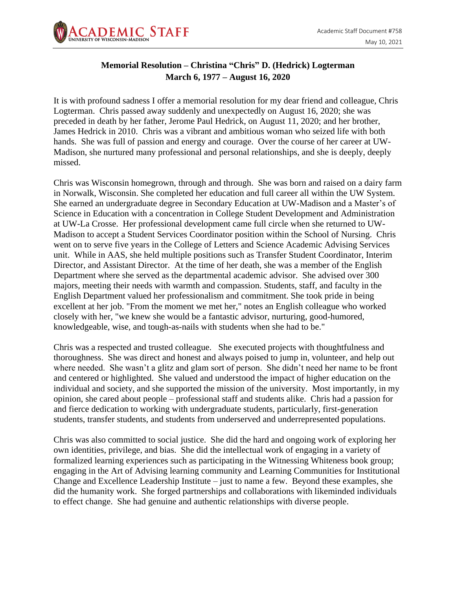

## **Memorial Resolution – Christina "Chris" D. (Hedrick) Logterman March 6, 1977 – August 16, 2020**

It is with profound sadness I offer a memorial resolution for my dear friend and colleague, Chris Logterman. Chris passed away suddenly and unexpectedly on August 16, 2020; she was preceded in death by her father, Jerome Paul Hedrick, on August 11, 2020; and her brother, James Hedrick in 2010. Chris was a vibrant and ambitious woman who seized life with both hands. She was full of passion and energy and courage. Over the course of her career at UW-Madison, she nurtured many professional and personal relationships, and she is deeply, deeply missed.

Chris was Wisconsin homegrown, through and through. She was born and raised on a dairy farm in Norwalk, Wisconsin. She completed her education and full career all within the UW System. She earned an undergraduate degree in Secondary Education at UW-Madison and a Master's of Science in Education with a concentration in College Student Development and Administration at UW-La Crosse. Her professional development came full circle when she returned to UW-Madison to accept a Student Services Coordinator position within the School of Nursing. Chris went on to serve five years in the College of Letters and Science Academic Advising Services unit. While in AAS, she held multiple positions such as Transfer Student Coordinator, Interim Director, and Assistant Director. At the time of her death, she was a member of the English Department where she served as the departmental academic advisor. She advised over 300 majors, meeting their needs with warmth and compassion. Students, staff, and faculty in the English Department valued her professionalism and commitment. She took pride in being excellent at her job. "From the moment we met her," notes an English colleague who worked closely with her, "we knew she would be a fantastic advisor, nurturing, good-humored, knowledgeable, wise, and tough-as-nails with students when she had to be."

Chris was a respected and trusted colleague. She executed projects with thoughtfulness and thoroughness. She was direct and honest and always poised to jump in, volunteer, and help out where needed. She wasn't a glitz and glam sort of person. She didn't need her name to be front and centered or highlighted. She valued and understood the impact of higher education on the individual and society, and she supported the mission of the university. Most importantly, in my opinion, she cared about people – professional staff and students alike. Chris had a passion for and fierce dedication to working with undergraduate students, particularly, first-generation students, transfer students, and students from underserved and underrepresented populations.

Chris was also committed to social justice. She did the hard and ongoing work of exploring her own identities, privilege, and bias. She did the intellectual work of engaging in a variety of formalized learning experiences such as participating in the Witnessing Whiteness book group; engaging in the Art of Advising learning community and Learning Communities for Institutional Change and Excellence Leadership Institute – just to name a few. Beyond these examples, she did the humanity work. She forged partnerships and collaborations with likeminded individuals to effect change. She had genuine and authentic relationships with diverse people.